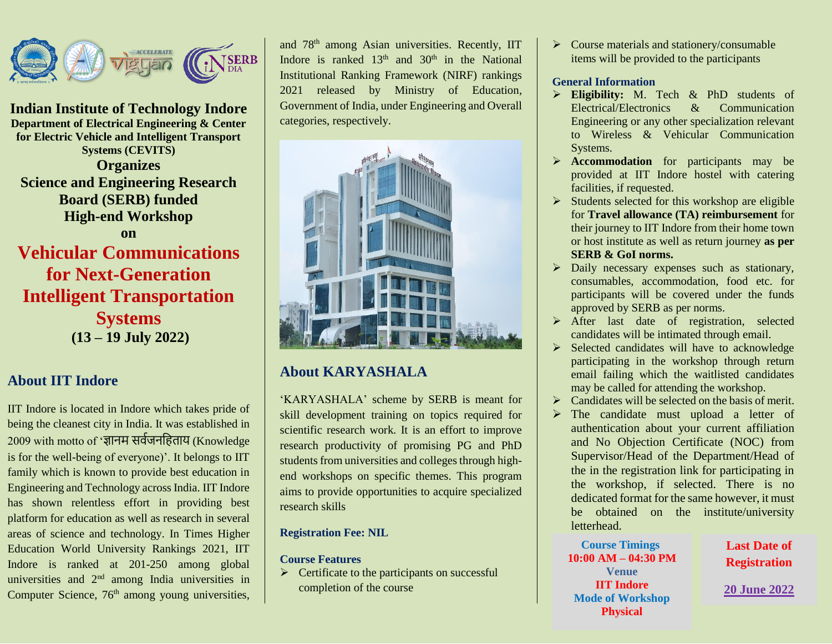

**Indian Institute of Technology Indore Department of Electrical Engineering & Center for Electric Vehicle and Intelligent Transport Systems (CEVITS) Organizes Science and Engineering Research Board (SERB) funded High-end Workshop on Vehicular Communications for Next-Generation Intelligent Transportation Systems (13 – 19 July 2022)**

# **About IIT Indore**

IIT Indore is located in Indore which takes pride of being the cleanest city in India. It was established in 2009 with motto of 'ज्ञानम सर्वजनहिताय (Knowledge is for the well-being of everyone)'. It belongs to IIT family which is known to provide best education in Engineering and Technology across India. IIT Indore has shown relentless effort in providing best platform for education as well as research in several areas of science and technology. In Times Higher Education World University Rankings 2021, IIT Indore is ranked at 201-250 among global universities and 2<sup>nd</sup> among India universities in Computer Science, 76<sup>th</sup> among young universities,

and 78th among Asian universities. Recently, IIT Indore is ranked  $13<sup>th</sup>$  and  $30<sup>th</sup>$  in the National Institutional Ranking Framework (NIRF) rankings 2021 released by Ministry of Education, Government of India, under Engineering and Overall categories, respectively.



# **About KARYASHALA**

'KARYASHALA' scheme by SERB is meant for skill development training on topics required for scientific research work. It is an effort to improve research productivity of promising PG and PhD students from universities and colleges through highend workshops on specific themes. This program aims to provide opportunities to acquire specialized research skills

### **Registration Fee: NIL**

## **Course Features**

 $\triangleright$  Certificate to the participants on successful completion of the course

 $\triangleright$  Course materials and stationery/consumable items will be provided to the participants

#### **General Information**

- Eligibility: M. Tech & PhD students of Electrical/Electronics & Communication Engineering or any other specialization relevant to Wireless & Vehicular Communication Systems.
- **Accommodation** for participants may be provided at IIT Indore hostel with catering facilities, if requested.
- $\triangleright$  Students selected for this workshop are eligible for **Travel allowance (TA) reimbursement** for their journey to IIT Indore from their home town or host institute as well as return journey **as per SERB & GoI norms.**
- $\triangleright$  Daily necessary expenses such as stationary, consumables, accommodation, food etc. for participants will be covered under the funds approved by SERB as per norms.
- After last date of registration, selected candidates will be intimated through email.
- $\triangleright$  Selected candidates will have to acknowledge participating in the workshop through return email failing which the waitlisted candidates may be called for attending the workshop.
- $\triangleright$  Candidates will be selected on the basis of merit.
- $\triangleright$  The candidate must upload a letter of authentication about your current affiliation and No Objection Certificate (NOC) from Supervisor/Head of the Department/Head of the in the registration link for participating in the workshop, if selected. There is no dedicated format for the same however, it must be obtained on the institute/university letterhead.

 **Course Timings 10:00 AM – 04:30 PM Venue IIT Indore Mode of Workshop Physical** 

## **Last Date of Registration**

**20 June 2022**